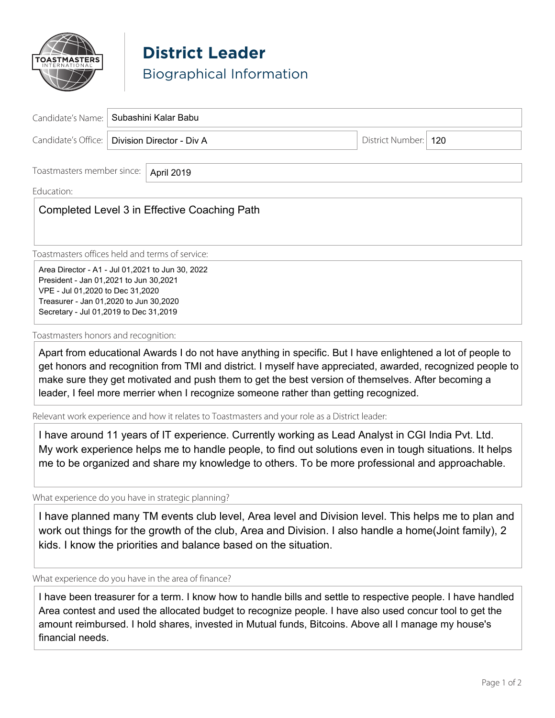

**District Leader** Biographical Information

| Candidate's Name:   Subashini Kalar Babu        |                        |  |
|-------------------------------------------------|------------------------|--|
| Candidate's Office:   Division Director - Div A | District Number:   120 |  |
|                                                 |                        |  |

\_\_\_\_\_\_\_\_\_\_\_\_\_\_\_\_\_\_\_\_\_\_\_\_\_\_\_\_\_\_\_\_\_\_\_\_\_\_\_\_\_\_\_\_\_\_\_\_\_\_\_\_\_\_\_\_\_\_\_\_\_\_\_\_\_\_\_\_\_\_\_\_\_\_\_\_\_\_\_\_\_\_\_\_\_\_\_\_\_\_\_\_\_\_\_\_\_\_\_\_\_\_

# Education: \_\_\_\_\_\_\_\_\_\_\_\_\_\_\_\_\_\_\_\_\_\_\_\_\_\_\_\_\_\_\_\_\_\_\_\_\_\_\_\_\_\_\_\_\_\_\_\_\_\_\_\_\_\_\_\_\_\_\_\_\_\_\_\_\_\_\_\_\_\_\_\_\_\_\_\_\_\_\_\_\_\_\_\_\_\_\_\_\_\_\_\_\_

Toastmasters member since:

# $\mid$  Completed Level 3 in Effective Coaching Path

April 2019

Toastmasters offices held and terms of service:

Area Director - A1 - Jul 01,2021 to Jun 30, 2022 President - Jan 01,2021 to Jun 30,2021 VPE - Jul 01,2020 to Dec 31,2020 Treasurer - Jan 01,2020 to Jun 30,2020 Secretary - Jul 01,2019 to Dec 31,2019

Toastmasters honors and recognition:

Apart from educational Awards I do not have anything in specific. But I have enlightened a lot of people to get honors and recognition from TMI and district. I myself have appreciated, awarded, recognized people to make sure they get motivated and push them to get the best version of themselves. After becoming a leader, I feel more merrier when I recognize someone rather than getting recognized.

Relevant work experience and how it relates to Toastmasters and your role as a District leader:

I have around 11 years of IT experience. Currently working as Lead Analyst in CGI India Pvt. Ltd. My work experience helps me to handle people, to find out solutions even in tough situations. It helps me to be organized and share my knowledge to others. To be more professional and approachable.

What experience do you have in strategic planning?

I have planned many TM events club level, Area level and Division level. This helps me to plan and work out things for the growth of the club, Area and Division. I also handle a home(Joint family), 2 kids. I know the priorities and balance based on the situation.

What experience do you have in the area of finance?

I have been treasurer for a term. I know how to handle bills and settle to respective people. I have handled Area contest and used the allocated budget to recognize people. I have also used concur tool to get the amount reimbursed. I hold shares, invested in Mutual funds, Bitcoins. Above all I manage my house's financial needs.